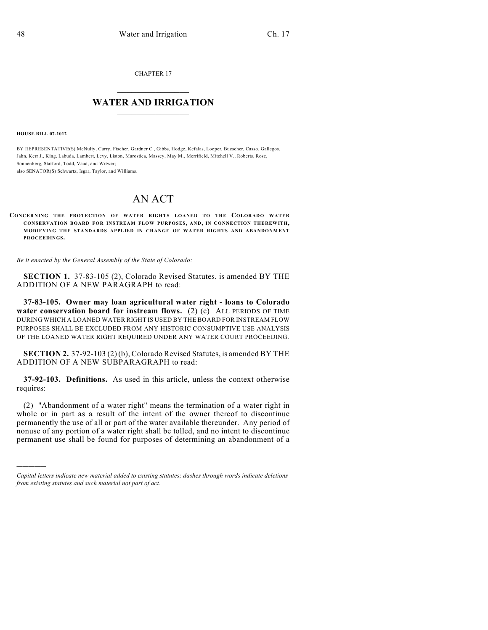CHAPTER 17

## $\mathcal{L}_\text{max}$  . The set of the set of the set of the set of the set of the set of the set of the set of the set of the set of the set of the set of the set of the set of the set of the set of the set of the set of the set **WATER AND IRRIGATION**  $\_$   $\_$

**HOUSE BILL 07-1012**

)))))

BY REPRESENTATIVE(S) McNulty, Curry, Fischer, Gardner C., Gibbs, Hodge, Kefalas, Looper, Buescher, Casso, Gallegos, Jahn, Kerr J., King, Labuda, Lambert, Levy, Liston, Marostica, Massey, May M., Merrifield, Mitchell V., Roberts, Rose, Sonnenberg, Stafford, Todd, Vaad, and Witwer;

also SENATOR(S) Schwartz, Isgar, Taylor, and Williams.

## AN ACT

## **CONCERNING THE PROTECTION OF WATER RIGHTS LOANED TO THE COLORADO WATER CONSERVATION BOARD FOR INSTREAM FLOW PURPOSES, AND, IN CONNECTION THEREWITH, MODIFYING THE STANDARDS APPLIED IN CHANGE OF WATER RIGHTS AND ABANDONMENT PROCEEDINGS.**

*Be it enacted by the General Assembly of the State of Colorado:*

**SECTION 1.** 37-83-105 (2), Colorado Revised Statutes, is amended BY THE ADDITION OF A NEW PARAGRAPH to read:

**37-83-105. Owner may loan agricultural water right - loans to Colorado water conservation board for instream flows.** (2) (c) ALL PERIODS OF TIME DURING WHICH A LOANED WATER RIGHT IS USED BY THE BOARD FOR INSTREAM FLOW PURPOSES SHALL BE EXCLUDED FROM ANY HISTORIC CONSUMPTIVE USE ANALYSIS OF THE LOANED WATER RIGHT REQUIRED UNDER ANY WATER COURT PROCEEDING.

**SECTION 2.** 37-92-103 (2) (b), Colorado Revised Statutes, is amended BY THE ADDITION OF A NEW SUBPARAGRAPH to read:

**37-92-103. Definitions.** As used in this article, unless the context otherwise requires:

(2) "Abandonment of a water right" means the termination of a water right in whole or in part as a result of the intent of the owner thereof to discontinue permanently the use of all or part of the water available thereunder. Any period of nonuse of any portion of a water right shall be tolled, and no intent to discontinue permanent use shall be found for purposes of determining an abandonment of a

*Capital letters indicate new material added to existing statutes; dashes through words indicate deletions from existing statutes and such material not part of act.*